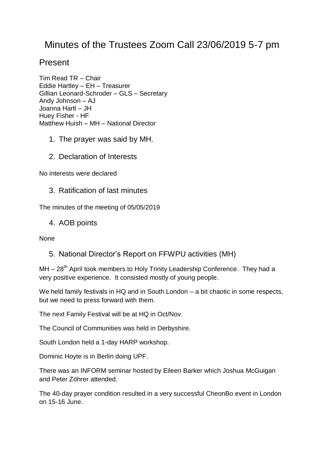# Minutes of the Trustees Zoom Call 23/06/2019 5-7 pm

## Present

Tim Read TR – Chair Eddie Hartley – EH – Treasurer Gillian Leonard-Schroder – GLS – Secretary Andy Johnson – AJ Joanna Hartl – JH Huey Fisher - HF Matthew Huish – MH – National Director

- 1. The prayer was said by MH.
- 2. Declaration of Interests

No interests were declared

3. Ratification of last minutes

The minutes of the meeting of 05/05/2019

4. AOB points

None

5. National Director's Report on FFWPU activities (MH)

 $MH - 28<sup>th</sup>$  April took members to Holy Trinity Leadership Conference. They had a very positive experience. It consisted mostly of young people.

We held family festivals in HQ and in South London – a bit chaotic in some respects, but we need to press forward with them.

The next Family Festival will be at HQ in Oct/Nov.

The Council of Communities was held in Derbyshire.

South London held a 1-day HARP workshop.

Dominic Hoyte is in Berlin doing UPF.

There was an INFORM seminar hosted by Eileen Barker which Joshua McGuigan and Peter Zöhrer attended.

The 40-day prayer condition resulted in a very successful CheonBo event in London on 15-16 June.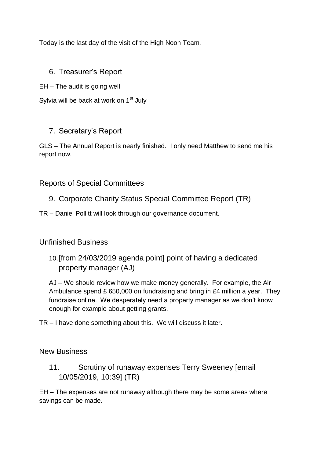Today is the last day of the visit of the High Noon Team.

#### 6. Treasurer's Report

EH – The audit is going well

Sylvia will be back at work on 1<sup>st</sup> July

#### 7. Secretary's Report

GLS – The Annual Report is nearly finished. I only need Matthew to send me his report now.

#### Reports of Special Committees

9. Corporate Charity Status Special Committee Report (TR)

TR – Daniel Pollitt will look through our governance document.

#### Unfinished Business

10.[from 24/03/2019 agenda point] point of having a dedicated property manager (AJ)

AJ – We should review how we make money generally. For example, the Air Ambulance spend £ 650,000 on fundraising and bring in £4 million a year. They fundraise online. We desperately need a property manager as we don't know enough for example about getting grants.

TR – I have done something about this. We will discuss it later.

New Business

11. Scrutiny of runaway expenses Terry Sweeney [email 10/05/2019, 10:39] (TR)

EH – The expenses are not runaway although there may be some areas where savings can be made.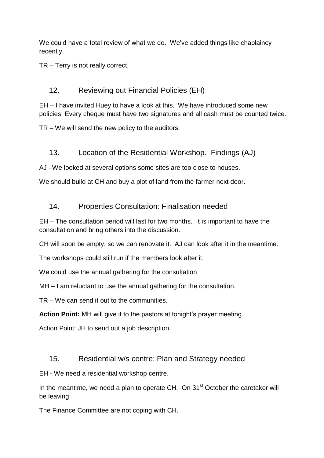We could have a total review of what we do. We've added things like chaplaincy recently.

TR – Terry is not really correct.

## 12. Reviewing out Financial Policies (EH)

EH – I have invited Huey to have a look at this. We have introduced some new policies. Every cheque must have two signatures and all cash must be counted twice.

TR – We will send the new policy to the auditors.

#### 13. Location of the Residential Workshop. Findings (AJ)

AJ –We looked at several options some sites are too close to houses.

We should build at CH and buy a plot of land from the farmer next door.

#### 14. Properties Consultation: Finalisation needed

EH – The consultation period will last for two months. It is important to have the consultation and bring others into the discussion.

CH will soon be empty, so we can renovate it. AJ can look after it in the meantime.

The workshops could still run if the members look after it.

We could use the annual gathering for the consultation

MH – I am reluctant to use the annual gathering for the consultation.

TR – We can send it out to the communities.

**Action Point:** MH will give it to the pastors at tonight's prayer meeting.

Action Point: JH to send out a job description.

#### 15. Residential w/s centre: Plan and Strategy needed

EH - We need a residential workshop centre.

In the meantime, we need a plan to operate CH. On 31<sup>st</sup> October the caretaker will be leaving.

The Finance Committee are not coping with CH.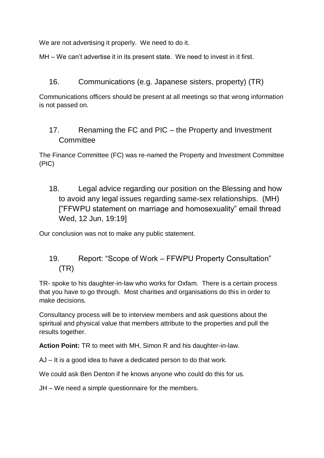We are not advertising it properly. We need to do it.

MH – We can't advertise it in its present state. We need to invest in it first.

### 16. Communications (e.g. Japanese sisters, property) (TR)

Communications officers should be present at all meetings so that wrong information is not passed on.

## 17. Renaming the FC and PIC – the Property and Investment **Committee**

The Finance Committee (FC) was re-named the Property and Investment Committee (PIC)

18. Legal advice regarding our position on the Blessing and how to avoid any legal issues regarding same-sex relationships. (MH) ["FFWPU statement on marriage and homosexuality" email thread Wed, 12 Jun, 19:19]

Our conclusion was not to make any public statement.

## 19. Report: "Scope of Work – FFWPU Property Consultation" (TR)

TR- spoke to his daughter-in-law who works for Oxfam. There is a certain process that you have to go through. Most charities and organisations do this in order to make decisions.

Consultancy process will be to interview members and ask questions about the spiritual and physical value that members attribute to the properties and pull the results together.

**Action Point:** TR to meet with MH, Simon R and his daughter-in-law.

AJ – It is a good idea to have a dedicated person to do that work.

We could ask Ben Denton if he knows anyone who could do this for us.

JH – We need a simple questionnaire for the members.